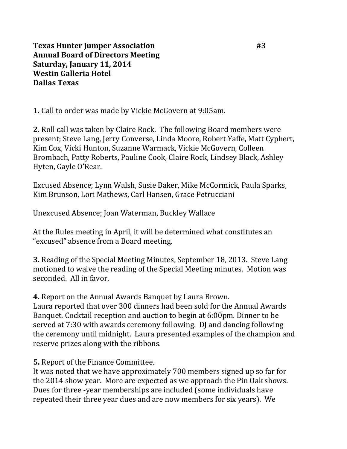**Texas Hunter Jumper Association** #3 **Annual Board of Directors Meeting Saturday, January 11, 2014 Westin Galleria Hotel Dallas Texas**

**1.** Call to order was made by Vickie McGovern at 9:05am.

**2.** Roll call was taken by Claire Rock. The following Board members were present; Steve Lang, Jerry Converse, Linda Moore, Robert Yaffe, Matt Cyphert, Kim Cox, Vicki Hunton, Suzanne Warmack, Vickie McGovern, Colleen Brombach, Patty Roberts, Pauline Cook, Claire Rock, Lindsey Black, Ashley Hyten, Gayle O'Rear.

Excused Absence; Lynn Walsh, Susie Baker, Mike McCormick, Paula Sparks, Kim Brunson, Lori Mathews, Carl Hansen, Grace Petrucciani

Unexcused Absence; Joan Waterman, Buckley Wallace

At the Rules meeting in April, it will be determined what constitutes an "excused" absence from a Board meeting.

**3.** Reading of the Special Meeting Minutes, September 18, 2013. Steve Lang motioned to waive the reading of the Special Meeting minutes. Motion was seconded. All in favor.

**4.** Report on the Annual Awards Banquet by Laura Brown.

Laura reported that over 300 dinners had been sold for the Annual Awards Banquet. Cocktail reception and auction to begin at 6:00pm. Dinner to be served at 7:30 with awards ceremony following. DJ and dancing following the ceremony until midnight. Laura presented examples of the champion and reserve prizes along with the ribbons.

**5.** Report of the Finance Committee.

It was noted that we have approximately 700 members signed up so far for the 2014 show year. More are expected as we approach the Pin Oak shows. Dues for three -year memberships are included (some individuals have repeated their three year dues and are now members for six years). We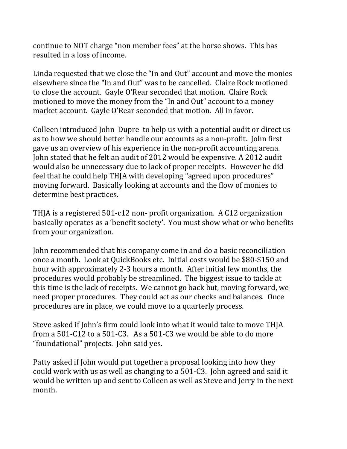continue to NOT charge "non member fees" at the horse shows. This has resulted in a loss of income.

Linda requested that we close the "In and Out" account and move the monies elsewhere since the "In and Out" was to be cancelled. Claire Rock motioned to close the account. Gayle O'Rear seconded that motion. Claire Rock motioned to move the money from the "In and Out" account to a money market account. Gayle O'Rear seconded that motion. All in favor.

Colleen introduced John Dupre to help us with a potential audit or direct us as to how we should better handle our accounts as a non-profit. John first gave us an overview of his experience in the non-profit accounting arena. John stated that he felt an audit of 2012 would be expensive. A 2012 audit would also be unnecessary due to lack of proper receipts. However he did feel that he could help THJA with developing "agreed upon procedures" moving forward. Basically looking at accounts and the flow of monies to determine best practices.

THJA is a registered 501-c12 non- profit organization. A C12 organization basically operates as a 'benefit society'. You must show what or who benefits from your organization.

John recommended that his company come in and do a basic reconciliation once a month. Look at QuickBooks etc. Initial costs would be \$80-\$150 and hour with approximately 2-3 hours a month. After initial few months, the procedures would probably be streamlined. The biggest issue to tackle at this time is the lack of receipts. We cannot go back but, moving forward, we need proper procedures. They could act as our checks and balances. Once procedures are in place, we could move to a quarterly process.

Steve asked if John's firm could look into what it would take to move THJA from a 501-C12 to a 501-C3. As a 501-C3 we would be able to do more "foundational" projects. John said yes.

Patty asked if John would put together a proposal looking into how they could work with us as well as changing to a 501-C3. John agreed and said it would be written up and sent to Colleen as well as Steve and Jerry in the next month.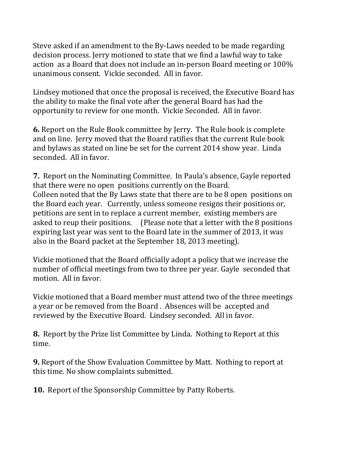Steve asked if an amendment to the By-Laws needed to be made regarding decision process. Jerry motioned to state that we find a lawful way to take action as a Board that does not include an in-person Board meeting or 100% unanimous consent. Vickie seconded. All in favor.

Lindsey motioned that once the proposal is received, the Executive Board has the ability to make the final vote after the general Board has had the opportunity to review for one month. Vickie Seconded. All in favor.

**6.** Report on the Rule Book committee by Jerry. The Rule book is complete and on line. Jerry moved that the Board ratifies that the current Rule book and bylaws as stated on line be set for the current 2014 show year. Linda seconded. All in favor.

**7.** Report on the Nominating Committee. In Paula's absence, Gayle reported that there were no open positions currently on the Board. Colleen noted that the By Laws state that there are to be 8 open positions on the Board each year. Currently, unless someone resigns their positions or, petitions are sent in to replace a current member, existing members are asked to reup their positions. (Please note that a letter with the 8 positions expiring last year was sent to the Board late in the summer of 2013, it was also in the Board packet at the September 18, 2013 meeting).

Vickie motioned that the Board officially adopt a policy that we increase the number of official meetings from two to three per year. Gayle seconded that motion. All in favor.

Vickie motioned that a Board member must attend two of the three meetings a year or be removed from the Board . Absences will be accepted and reviewed by the Executive Board. Lindsey seconded. All in favor.

**8.** Report by the Prize list Committee by Linda. Nothing to Report at this time.

**9.** Report of the Show Evaluation Committee by Matt. Nothing to report at this time. No show complaints submitted.

**10.** Report of the Sponsorship Committee by Patty Roberts.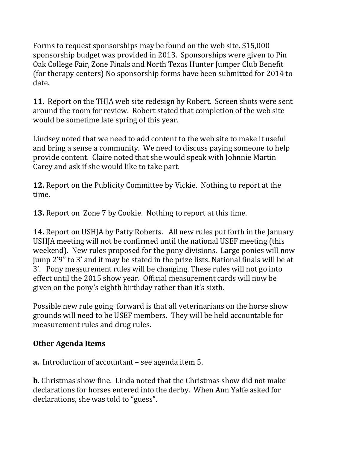Forms to request sponsorships may be found on the web site. \$15,000 sponsorship budget was provided in 2013. Sponsorships were given to Pin Oak College Fair, Zone Finals and North Texas Hunter Jumper Club Benefit (for therapy centers) No sponsorship forms have been submitted for 2014 to date.

**11.** Report on the THJA web site redesign by Robert. Screen shots were sent around the room for review. Robert stated that completion of the web site would be sometime late spring of this year.

Lindsey noted that we need to add content to the web site to make it useful and bring a sense a community. We need to discuss paying someone to help provide content. Claire noted that she would speak with Johnnie Martin Carey and ask if she would like to take part.

**12.** Report on the Publicity Committee by Vickie. Nothing to report at the time.

**13.** Report on Zone 7 by Cookie. Nothing to report at this time.

**14.** Report on USHJA by Patty Roberts. All new rules put forth in the January USHJA meeting will not be confirmed until the national USEF meeting (this weekend). New rules proposed for the pony divisions. Large ponies will now jump 2'9" to 3' and it may be stated in the prize lists. National finals will be at 3'. Pony measurement rules will be changing. These rules will not go into effect until the 2015 show year. Official measurement cards will now be given on the pony's eighth birthday rather than it's sixth.

Possible new rule going forward is that all veterinarians on the horse show grounds will need to be USEF members. They will be held accountable for measurement rules and drug rules.

## **Other Agenda Items**

**a.** Introduction of accountant – see agenda item 5.

**b.** Christmas show fine. Linda noted that the Christmas show did not make declarations for horses entered into the derby. When Ann Yaffe asked for declarations, she was told to "guess".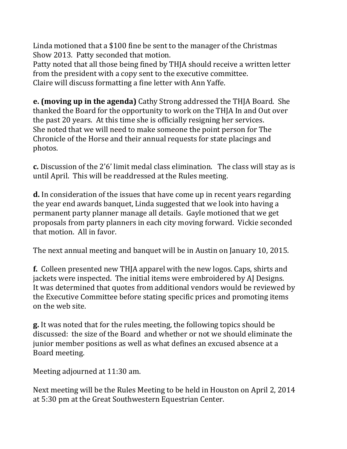Linda motioned that a \$100 fine be sent to the manager of the Christmas Show 2013. Patty seconded that motion.

Patty noted that all those being fined by THJA should receive a written letter from the president with a copy sent to the executive committee. Claire will discuss formatting a fine letter with Ann Yaffe.

**e. (moving up in the agenda)** Cathy Strong addressed the THJA Board. She thanked the Board for the opportunity to work on the THJA In and Out over the past 20 years. At this time she is officially resigning her services. She noted that we will need to make someone the point person for The Chronicle of the Horse and their annual requests for state placings and photos.

**c.** Discussion of the 2'6' limit medal class elimination. The class will stay as is until April. This will be readdressed at the Rules meeting.

**d.** In consideration of the issues that have come up in recent years regarding the year end awards banquet, Linda suggested that we look into having a permanent party planner manage all details. Gayle motioned that we get proposals from party planners in each city moving forward. Vickie seconded that motion. All in favor.

The next annual meeting and banquet will be in Austin on January 10, 2015.

**f.** Colleen presented new THJA apparel with the new logos. Caps, shirts and jackets were inspected. The initial items were embroidered by AJ Designs. It was determined that quotes from additional vendors would be reviewed by the Executive Committee before stating specific prices and promoting items on the web site.

**g.** It was noted that for the rules meeting, the following topics should be discussed: the size of the Board and whether or not we should eliminate the junior member positions as well as what defines an excused absence at a Board meeting.

Meeting adjourned at 11:30 am.

Next meeting will be the Rules Meeting to be held in Houston on April 2, 2014 at 5:30 pm at the Great Southwestern Equestrian Center.